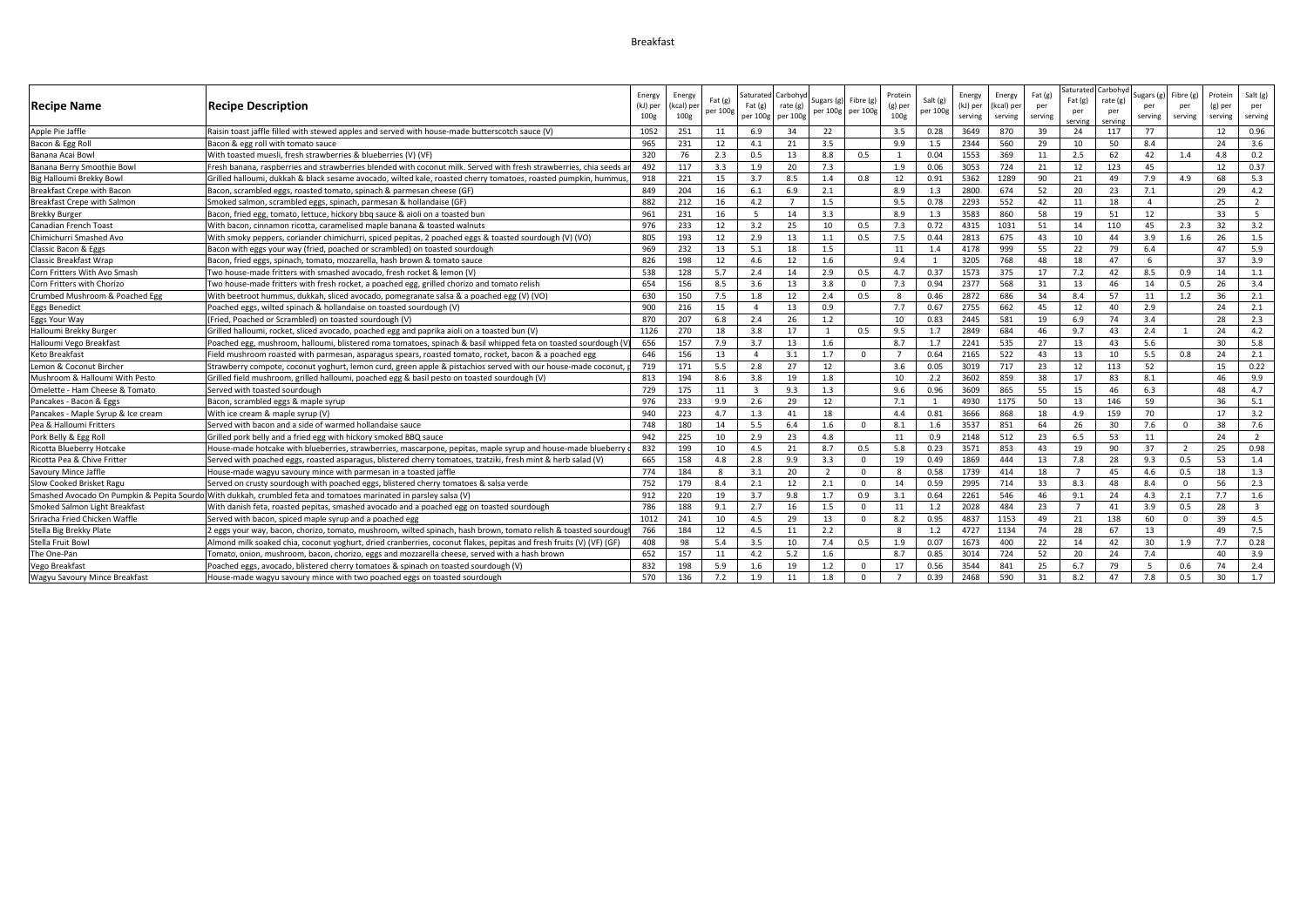## Breakfast

|                                    |                                                                                                                     |                  |                  |           |                         |          |                          |          |                |              |          |          |         | Saturate       | `arboh\ |                |                |         |                         |
|------------------------------------|---------------------------------------------------------------------------------------------------------------------|------------------|------------------|-----------|-------------------------|----------|--------------------------|----------|----------------|--------------|----------|----------|---------|----------------|---------|----------------|----------------|---------|-------------------------|
|                                    |                                                                                                                     | Energy           | Energy           | Fat $(g)$ | Saturated               | Carbohy  | Sugars (g                | Fibre (g | Protein        | Salt (g)     | Energy   | Energy   | Fat (g) | Fat(g)         | rate (g | Sugars (g)     | Fibre (g)      | Protein | Salt $(g)$              |
| Recipe Name                        | <b>Recipe Description</b>                                                                                           | (kJ) per         | kcal) pe         | per 100g  | Fat(g)                  | rate (g) | per 100g per 100g        |          | (g) per        | per 100g     | (kJ) per | kcal) pe | per     | per            | per     | per            | per            | (g) per | per                     |
|                                    |                                                                                                                     | 100 <sub>g</sub> | 100 <sub>g</sub> |           | per 100g                | per 100g |                          |          | 100g           |              | serving  | serving  | serving | servin         | servin  | serving        | serving        | serving | serving                 |
| Apple Pie Jaffle                   | Raisin toast jaffle filled with stewed apples and served with house-made butterscotch sauce (V)                     | 1052             | 251              | 11        | 6.9                     | 34       | 22                       |          | 3.5            | 0.28         | 3649     | 870      | 39      | 24             | 117     | 77             |                | 12      | 0.96                    |
| Bacon & Egg Roll                   | Bacon & egg roll with tomato sauce                                                                                  | 965              | 231              | 12        | 4.1                     | 21       | 3.5                      |          | 9.9            | 1.5          | 2344     | 560      | 29      | 10             | 50      | 8.4            |                | 24      | 3.6                     |
| Banana Acai Bow                    | With toasted muesli, fresh strawberries & blueberries (V) (VF)                                                      | 320              | 76               | 2.3       | 0.5                     | 13       | 8.8                      | 0.5      |                | 0.04         | 1553     | 369      | 11      | 2.5            | 62      | 42             | 1.4            | 4.8     | 0.2                     |
| Banana Berry Smoothie Bowl         | Fresh banana, raspberries and strawberries blended with coconut milk. Served with fresh strawberries, chia seeds    | 492              | 117              | 3.3       | 1.9                     | 20       | 7.3                      |          | 1.9            | 0.06         | 3053     | 724      | 21      | 12             | 123     | 45             |                | 12      | 0.37                    |
| Big Halloumi Brekky Bowl           | Grilled halloumi, dukkah & black sesame avocado, wilted kale, roasted cherry tomatoes, roasted pumpkin, hummus,     | 918              | 221              | 15        | 3.7                     | 8.5      | 1.4                      | 0.8      | 12             | 0.91         | 5362     | 1289     | 90      | 21             | 49      | 7.9            | 4.9            | 68      | 5.3                     |
| Breakfast Crepe with Bacon         | Bacon, scrambled eggs, roasted tomato, spinach & parmesan cheese (GF)                                               | 849              | 204              | 16        | 6.1                     | 6.9      | 2.1                      |          | 8.9            | 1.3          | 2800     | 674      | 52      | 20             | 23      | 7.1            |                | 29      | 4.2                     |
| Breakfast Crepe with Salmon        | Smoked salmon, scrambled eggs, spinach, parmesan & hollandaise (GF)                                                 | 882              | 212              | 16        | 4.2                     |          | 1.5                      |          | 9.5            | 0.78         | 2293     | 552      | 42      | 11             | 18      | $\overline{4}$ |                | 25      | $\overline{2}$          |
| <b>Brekky Burger</b>               | Bacon, fried egg, tomato, lettuce, hickory bbq sauce & aioli on a toasted bun                                       | 961              | 231              | 16        | 5                       | 14       | 3.3                      |          | 8.9            | 1.3          | 3583     | 860      | - 58    | 19             | 51      | 12             |                | 33      | 5                       |
| Canadian French Toast              | With bacon, cinnamon ricotta, caramelised maple banana & toasted walnuts                                            | 976              | 233              | 12        | 3.2                     | 25       | 10                       | 0.5      | 7.3            | 0.72         | 4315     | 1031     | 51      | 14             | 110     | 45             | 2.3            | 32      | 3.2                     |
| Chimichurri Smashed Avo            | With smoky peppers, coriander chimichurri, spiced pepitas, 2 poached eggs & toasted sourdough (V) (VO)              | 805              | 193              | 12        | 2.9                     | 13       | 1.1                      | 0.5      | 7.5            | 0.44         | 2813     | 675      | 43      | 10             | 44      | 3.9            | 1.6            | 26      | 1.5                     |
| Classic Bacon & Eggs               | Bacon with eggs your way (fried, poached or scrambled) on toasted sourdough                                         | 969              | 232              | 13        | 5.1                     | 18       | 1.5                      |          | 11             | 1.4          | 4178     | 999      | 55      | 22             | 79      | 6.4            |                | 47      | 5.9                     |
| Classic Breakfast Wrap             | Bacon, fried eggs, spinach, tomato, mozzarella, hash brown & tomato sauce                                           | 826              | 198              | 12        | 4.6                     | 12       | 1.6                      |          | 9.4            |              | 3205     | 768      | 48      | 18             | 47      | 6              |                | 37      | 3.9                     |
| Corn Fritters With Avo Smash       | Two house-made fritters with smashed avocado, fresh rocket & lemon (V)                                              | 538              | 128              | 5.7       | 2.4                     | 14       | 2.9                      | 0.5      | 4.7            | 0.37         | 1573     | 375      | 17      | 7.2            | 42      | 8.5            | 0.9            | 14      | 1.1                     |
| Corn Fritters with Chorizo         | Two house-made fritters with fresh rocket, a poached egg, grilled chorizo and tomato relish                         | 654              | 156              | 8.5       | 3.6                     | 13       | 3.8                      | $\Omega$ | 7.3            | 0.94         | 2377     | 568      | 31      | 13             | 46      | 14             | 0.5            | 26      | 3.4                     |
| Crumbed Mushroom & Poached Egg     | With beetroot hummus, dukkah, sliced avocado, pomegranate salsa & a poached egg (V) (VO)                            | 630              | 150              | 7.5       | 1.8                     | 12       | 2.4                      | 0.5      | 8              | 0.46         | 2872     | 686      | 34      | 8.4            | 57      | 11             | 1.2            | 36      | 2.1                     |
| <b>Eggs Benedict</b>               | Poached eggs, wilted spinach & hollandaise on toasted sourdough (V)                                                 | 900              | 216              | 15        | $\overline{a}$          | 13       | 0.9                      |          | 7.7            | 0.67         | 2755     | 662      | 45      | 12             | 40      | 2.9            |                | 24      | 2.1                     |
| Eggs Your Way                      | (Fried, Poached or Scrambled) on toasted sourdough (V)                                                              | 870              | 207              | 6.8       | 2.4                     | 26       | 1.2                      |          | 10             | 0.83         | 2445     | 581      | 19      | 6.9            | 74      | 3.4            |                | 28      | 2.3                     |
| Halloumi Brekky Burger             | Grilled halloumi, rocket, sliced avocado, poached egg and paprika aioli on a toasted bun (V)                        | 1126             | 270              | 18        | 3.8                     | 17       | $\overline{1}$           | 0.5      | 9.5            | 1.7          | 2849     | 684      | 46      | 9.7            | 43      | 2.4            |                | 24      | 4.2                     |
| Halloumi Vego Breakfast            | Poached egg, mushroom, halloumi, blistered roma tomatoes, spinach & basil whipped feta on toasted sourdough (V      | 656              | 157              | 7.9       | 3.7                     | 13       | 1.6                      |          | 8.7            | 1.7          | 2241     | 535      | 27      | 13             | 43      | 5.6            |                | 30      | 5.8                     |
| Keto Breakfast                     | Field mushroom roasted with parmesan, asparagus spears, roasted tomato, rocket, bacon & a poached egg               | 646              | 156              | 13        | $\overline{4}$          | 3.1      | 1.7                      | $\Omega$ |                | 0.64         | 2165     | 522      | 43      | 13             | 10      | 5.5            | 0.8            | 24      | 2.1                     |
| Lemon & Coconut Bircher            | Strawberry compote, coconut yoghurt, lemon curd, green apple & pistachios served with our house-made coconut,       | 719              | 171              | 5.5       | 2.8                     | 27       | 12                       |          | 3.6            | 0.05         | 3019     | 717      | 23      | 12             | 113     | 52             |                | 15      | 0.22                    |
| Mushroom & Halloumi With Pesto     | Grilled field mushroom, grilled halloumi, poached egg & basil pesto on toasted sourdough (V)                        | 813              | 194              | 8.6       | 3.8                     | 19       | 1.8                      |          | 10             | 2.2          | 3602     | 859      | 38      | 17             | 83      | 8.1            |                | 46      | 9.9                     |
| Omelette - Ham Cheese & Tomato     | Served with toasted sourdough                                                                                       | 729              | 175              | 11        | $\overline{\mathbf{3}}$ | 9.3      | 1.3                      |          | 9.6            | 0.96         | 3609     | 865      | 55      | 15             | 46      | 6.3            |                | 48      | 4.7                     |
| Pancakes - Bacon & Eggs            | Bacon, scrambled eggs & maple syrup                                                                                 | 976              | 233              | 9.9       | 2.6                     | 29       | 12                       |          | 7.1            | $\mathbf{1}$ | 4930     | 1175     | 50      | 13             | 146     | 59             |                | 36      | 5.1                     |
| Pancakes - Maple Syrup & Ice cream | With ice cream & maple syrup (V)                                                                                    | 940              | 223              | 4.7       | 1.3                     | 41       | 18                       |          | 4.4            | 0.81         | 3666     | 868      | 18      | 4.9            | 159     | 70             |                | 17      | 3.2                     |
| Pea & Halloumi Fritters            | Served with bacon and a side of warmed hollandaise sauce                                                            | 748              | 180              | 14        | 5.5                     | 6.4      | 1.6                      | $\Omega$ | 8.1            | 1.6          | 3537     | 851      | 64      | 26             | 30      | 7.6            | $\Omega$       | 38      | 7.6                     |
| Pork Belly & Egg Roll              | Grilled pork belly and a fried egg with hickory smoked BBQ sauce                                                    | 942              | 225              | 10        | 2.9                     | 23       | 4.8                      |          | 11             | 0.9          | 2148     | 512      | 23      | 6.5            | 53      | 11             |                | 24      | $\overline{2}$          |
| Ricotta Blueberry Hotcake          | House-made hotcake with blueberries, strawberries, mascarpone, pepitas, maple syrup and house-made blueberr         | 832              | 199              | 10        | 4.5                     | 21       | 8.7                      | 0.5      | 5.8            | 0.23         | 3571     | 853      | 43      | 19             | 90      | 37             | $\overline{2}$ | 25      | 0.98                    |
| Ricotta Pea & Chive Fritter        | Served with poached eggs, roasted asparagus, blistered cherry tomatoes, tzatziki, fresh mint & herb salad (V)       | 665              | 158              | 4.8       | 2.8                     | 9.9      | 3.3                      | $\Omega$ | 19             | 0.49         | 1869     | 444      | 13      | 7.8            | 28      | 9.3            | 0.5            | 53      | 1.4                     |
| Savoury Mince Jaffle               | House-made wagyu savoury mince with parmesan in a toasted jaffle                                                    | 774              | 184              | 8         | 3.1                     | 20       | $\overline{\phantom{a}}$ | $\Omega$ | 8              | 0.58         | 1739     | 414      | 18      | $\overline{7}$ | 45      | 4.6            | 0.5            | 18      | 1.3                     |
| Slow Cooked Brisket Ragu           | Served on crusty sourdough with poached eggs, blistered cherry tomatoes & salsa verde                               | 752              | 179              | 8.4       | 2.1                     | 12       | 2.1                      | $\Omega$ | 14             | 0.59         | 2995     | 714      | 33      | 8.3            | 48      | 8.4            | $\Omega$       | 56      | 2.3                     |
|                                    | Smashed Avocado On Pumpkin & Pepita Sourdo With dukkah, crumbled feta and tomatoes marinated in parsley salsa (V)   | 912              | 220              | 19        | 3.7                     | 9.8      | 1.7                      | 0.9      | 3.1            | 0.64         | 2261     | 546      | 46      | 9.1            | 24      | 4.3            | 2.1            | 7.7     | 1.6                     |
| Smoked Salmon Light Breakfast      | With danish feta, roasted pepitas, smashed avocado and a poached egg on toasted sourdough                           | 786              | 188              | 9.1       | 2.7                     | 16       | 1.5                      | $\Omega$ | 11             | 1.2          | 2028     | 484      | 23      |                | 41      | 3.9            | 0.5            | 28      | $\overline{\mathbf{3}}$ |
| Sriracha Fried Chicken Waffle      | Served with bacon, spiced maple syrup and a poached egg                                                             | 1012             | 241              | 10        | 4.5                     | 29       | 13                       | $\Omega$ | 8.2            | 0.95         | 4837     | 1153     | 49      | 21             | 138     | 60             | $\mathbf{0}$   | 39      | 4.5                     |
| Stella Big Brekky Plate            | 2 eggs your way, bacon, chorizo, tomato, mushroom, wilted spinach, hash brown, tomato relish & toasted sourdoug     | 766              | 184              | 12        | 4.5                     | 11       | 2.2                      |          | 8              | 1.2          | 4727     | 1134     | 74      | 28             | 67      | 13             |                | 49      | 7.5                     |
| Stella Fruit Bowl                  | Almond milk soaked chia, coconut yoghurt, dried cranberries, coconut flakes, pepitas and fresh fruits (V) (VF) (GF) | 408              | 98               | 5.4       | 3.5                     | 10       | 7.4                      | 0.5      | 1.9            | 0.07         | 1673     | 400      | 22      | 14             | 42      | 30             | 1.9            | 7.7     | 0.28                    |
| The One-Pan                        | Tomato, onion, mushroom, bacon, chorizo, eggs and mozzarella cheese, served with a hash brown                       | 652              | 157              | 11        | 4.2                     | 5.2      | 1.6                      |          | 8.7            | 0.85         | 3014     | 724      | 52      | 20             | 24      | 7.4            |                | 40      | 3.9                     |
| Vego Breakfast                     | Poached eggs, avocado, blistered cherry tomatoes & spinach on toasted sourdough (V)                                 | 832              | 198              | 5.9       | 1.6                     | 19       | 1.2                      | $\Omega$ | 17             | 0.56         | 3544     | 841      | 25      | 6.7            | 79      | -5             | 0.6            | 74      | 2.4                     |
| Wagyu Savoury Mince Breakfast      | House-made wagyu savoury mince with two poached eggs on toasted sourdough                                           | 570              | 136              | 7.2       | 1.9                     | 11       | 1.8                      | $\Omega$ | $\overline{7}$ | 0.39         | 2468     | 590      | 31      | 8.2            | 47      | 7.8            | 0.5            | 30      | 1.7                     |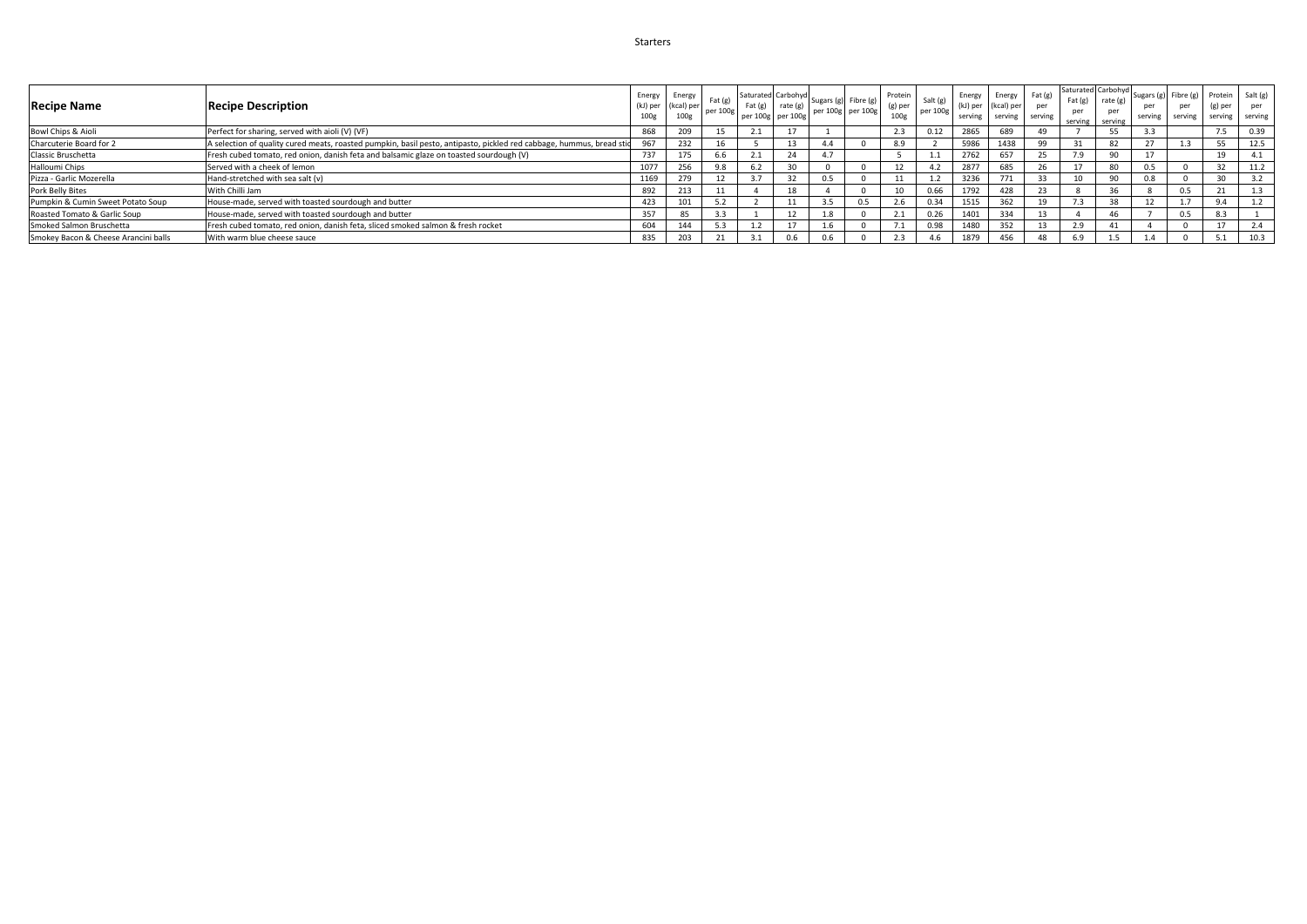## Starters

| <b>Recipe Name</b>                   | <b>Recipe Description</b>                                                                                            | Energy<br>(kJ) per<br>100 <sub>g</sub> | Energy<br>(kcal) per<br>100 <sub>g</sub> | $ext{f}$ (g)<br>per 100g | Fat (g) | $\therefore$ Saturated Carbohyd Sugars (g) Fibre (g) I<br>rate (g)<br>per 100g per 100g | per 100g per 100g |     | Protein<br>(g) per<br>100e | Salt (g)<br>per 100g | Energy<br>(kJ) per<br>serving | Energy<br>(kcal) per<br>serving | Fat (g)<br>per<br>serving | Fat(g)<br>per<br>serving | Saturated Carbohyd<br>rate (g)<br>per<br>serving | serving              | Sugars (g) Fibre (g) Protein Salt (g)<br>per | (g) per<br>serving serving serving | per  |
|--------------------------------------|----------------------------------------------------------------------------------------------------------------------|----------------------------------------|------------------------------------------|--------------------------|---------|-----------------------------------------------------------------------------------------|-------------------|-----|----------------------------|----------------------|-------------------------------|---------------------------------|---------------------------|--------------------------|--------------------------------------------------|----------------------|----------------------------------------------|------------------------------------|------|
| Bowl Chips & Aioli                   | Perfect for sharing, served with aioli (V) (VF)                                                                      | 868                                    |                                          |                          |         |                                                                                         |                   |     | 2.3                        | 0.12                 | 2865                          | 689                             |                           |                          | 55                                               | 3.3                  |                                              |                                    | 0.39 |
| Charcuterie Board for 2              | A selection of quality cured meats, roasted pumpkin, basil pesto, antipasto, pickled red cabbage, hummus, bread stid | 967                                    | 232                                      |                          |         |                                                                                         |                   |     | 8.9                        |                      | 5986                          | 1438                            | 99                        | 31                       | 82                                               | 27<br>$\mathcal{L}I$ |                                              |                                    | 12.5 |
| Classic Bruschetta                   | Fresh cubed tomato, red onion, danish feta and balsamic glaze on toasted sourdough (V)                               | 737                                    | 175                                      |                          |         |                                                                                         | 4.7               |     |                            |                      | 2762                          | 657                             |                           |                          | 90                                               | 17                   |                                              |                                    | 4.1  |
| Halloumi Chips                       | Served with a cheek of lemon                                                                                         | 1077                                   | 256                                      |                          |         |                                                                                         |                   |     |                            |                      | 2877                          | 685                             |                           |                          | 80                                               | 0.5                  |                                              |                                    | 11.2 |
| Pizza - Garlic Mozerella             | Hand-stretched with sea salt (v)                                                                                     | 1169                                   | 279                                      |                          |         |                                                                                         | 0.5               |     |                            |                      | 3236                          |                                 |                           | 10                       | 90                                               | 0.8                  |                                              | $\sim$                             |      |
| Pork Belly Bites                     | With Chilli Jam                                                                                                      | 892                                    | 213                                      |                          |         |                                                                                         |                   |     | 10                         | 0.66                 | 1792                          | 428                             | 23                        |                          | 36                                               |                      | 0.5                                          |                                    |      |
| Pumpkin & Cumin Sweet Potato Soup    | House-made, served with toasted sourdough and butter                                                                 | 423                                    |                                          |                          |         |                                                                                         |                   | 0.5 | 2.6                        | 0.34                 | 151                           |                                 |                           |                          | 38                                               |                      |                                              | 9.4                                |      |
| Roasted Tomato & Garlic Soup         | House-made, served with toasted sourdough and butter                                                                 | 357                                    | 85                                       |                          |         |                                                                                         |                   |     |                            |                      | 1401                          | 334                             |                           |                          | 46                                               |                      | 0.5                                          | 8.3                                |      |
| Smoked Salmon Bruschetta             | Fresh cubed tomato, red onion, danish feta, sliced smoked salmon & fresh rocket                                      | 604                                    | 144                                      |                          |         |                                                                                         |                   |     |                            | 0.98                 | 1480                          | 252                             |                           | 2.9                      | 41                                               |                      |                                              |                                    | 2.4  |
| Smokey Bacon & Cheese Arancini balls | With warm blue cheese sauce                                                                                          | 835                                    |                                          |                          |         | 0.6                                                                                     | 0.b               |     |                            |                      | 1879                          |                                 |                           | 6.9                      |                                                  |                      |                                              |                                    | 10.3 |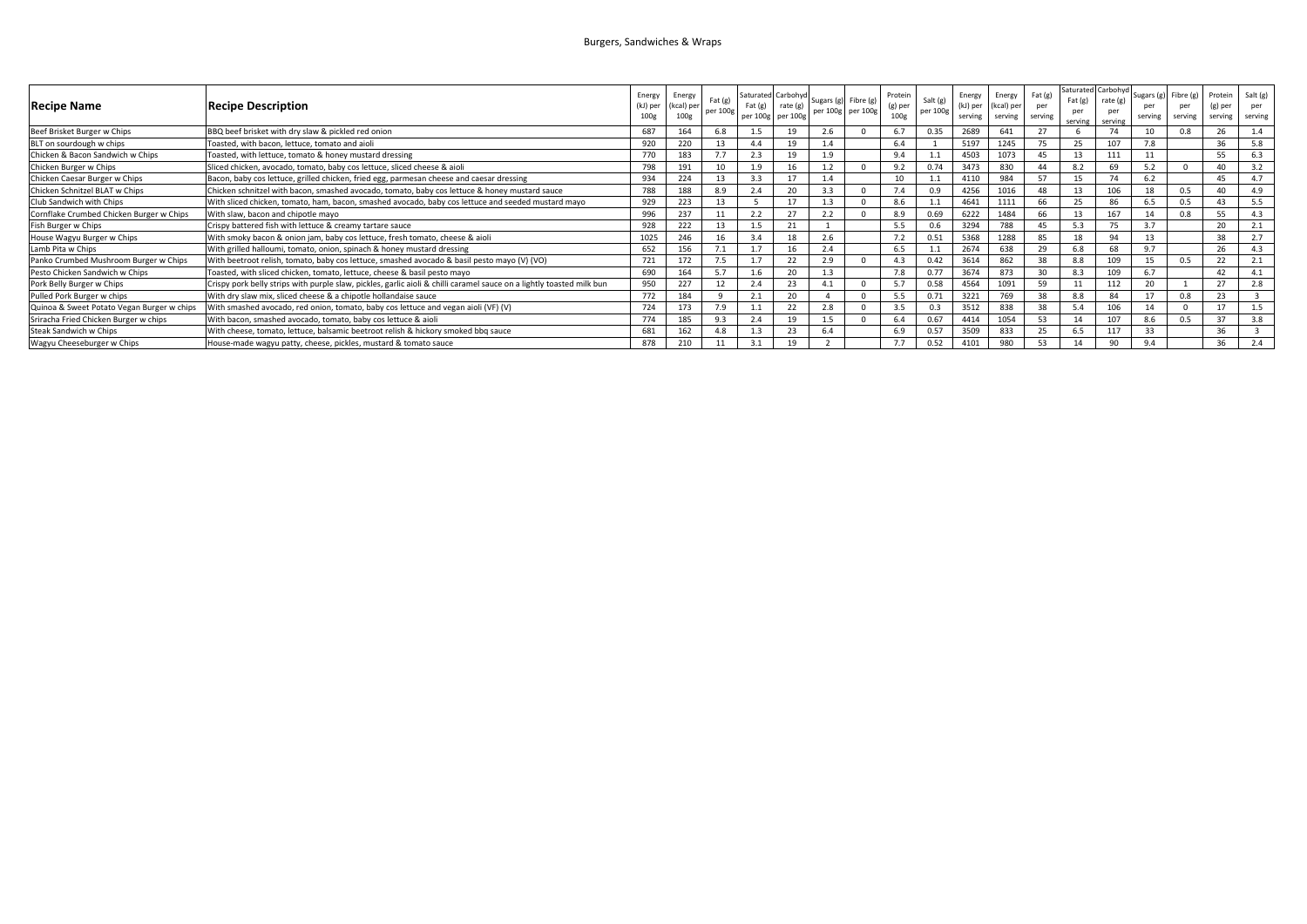## Burgers, Sandwiches & Wraps

| <b>Recipe Name</b>                         | <b>Recipe Description</b>                                                                                             | Energy<br>(kJ) per<br>100g | Energy<br>(kcal) per<br>100g | Fat(g)<br>per 100g | Fat $(g)$ | Saturated Carbohyd<br>rate (g)<br>per 100g per 100g | Sugars (g) Fibre (g) | per 100g per 100g | Protein<br>(g) per<br>100g | Salt (g)<br>per 100g | Energy<br>(kJ) per<br>serving | Energy<br>(kcal) per<br>serving | Fat (g)<br>per<br>serving | Saturated Carbohy<br>Fat(g)<br>serving | rate (g<br>serving | serving | Sugars $(g)$ Fibre $(g)$<br>per<br>serving | Protein<br>(g) per<br>serving | Salt (g)<br>per<br>serving |
|--------------------------------------------|-----------------------------------------------------------------------------------------------------------------------|----------------------------|------------------------------|--------------------|-----------|-----------------------------------------------------|----------------------|-------------------|----------------------------|----------------------|-------------------------------|---------------------------------|---------------------------|----------------------------------------|--------------------|---------|--------------------------------------------|-------------------------------|----------------------------|
| Beef Brisket Burger w Chips                | BBQ beef brisket with dry slaw & pickled red onion                                                                    | 687                        |                              | 6.8                |           | 19                                                  | 2.6                  |                   | 6.7                        | 0.35                 | 2689                          | 641                             | 27                        |                                        | 74                 |         |                                            |                               |                            |
| BLT on sourdough w chips                   | Toasted, with bacon, lettuce, tomato and aioli                                                                        | 920                        | 220                          |                    |           | 19                                                  | 1.4                  |                   | 6.4                        |                      | 5197                          | 1245                            | 75                        | 25                                     | 107                | 7.8     |                                            | 36                            | 5.8                        |
| Chicken & Bacon Sandwich w Chips           | Toasted, with lettuce, tomato & honey mustard dressing                                                                | 770                        | 183                          |                    |           | 19                                                  | 1.9                  |                   | 9.4                        |                      | 4503                          | 1073                            | 45                        | 13                                     | 111                |         |                                            |                               | 6.3                        |
| Chicken Burger w Chips                     | Sliced chicken, avocado, tomato, baby cos lettuce, sliced cheese & aioli                                              | 798                        | 191                          |                    | 19        |                                                     |                      |                   | 9.2                        | 0.74                 | 3473                          | 830                             | 44                        | 8.2                                    | 69                 | 5.2     |                                            |                               | 3.2                        |
| Chicken Caesar Burger w Chips              | Bacon, baby cos lettuce, grilled chicken, fried egg, parmesan cheese and caesar dressing                              | 934                        | 224                          |                    |           | 17                                                  |                      |                   | 10                         |                      | 4110                          | 984                             | 57                        | 15                                     | 74                 | 6.2     |                                            | 45                            | 47                         |
| Chicken Schnitzel BLAT w Chips             | Chicken schnitzel with bacon, smashed avocado, tomato, baby cos lettuce & honey mustard sauce                         | 788                        | 188                          | 8.9                | 2.4       | 20                                                  | 3.3                  |                   | 7.4                        | 0.9                  | 4256                          |                                 | 48                        | 13                                     | 106                | 18      | 0.5                                        |                               | 4.9                        |
| Club Sandwich with Chips                   | With sliced chicken, tomato, ham, bacon, smashed avocado, baby cos lettuce and seeded mustard mayo                    | 929                        | 223                          |                    |           | 17                                                  |                      |                   | 8.6                        |                      | 4641                          | 1111                            | 66                        | 25                                     | 86                 | 6.5     |                                            |                               | 5.5                        |
| Cornflake Crumbed Chicken Burger w Chips   | With slaw, bacon and chipotle mayo                                                                                    | 996                        | 237                          |                    |           | 27                                                  | 2.2                  |                   | 8.9                        | 0.69                 | 6222                          | 1484                            | 66                        | 13                                     | 167                | 11      |                                            |                               |                            |
| Fish Burger w Chips                        | Crispy battered fish with lettuce & creamy tartare sauce                                                              | 928                        | 222                          |                    |           | 21                                                  |                      |                   | 5.5                        | 0.6                  | 3294                          | 788                             | 45                        | 5.3                                    |                    | 3.7     |                                            | 20                            |                            |
| House Wagyu Burger w Chips                 | With smoky bacon & onion jam, baby cos lettuce, fresh tomato, cheese & aioli                                          | 1025                       | 246                          |                    | 3.4       | 18                                                  | 2.6                  |                   | 7.2                        | 0.51                 | 5368                          | 1288                            | 85                        | 18                                     | 94                 | 13      |                                            | 38                            | 2.7                        |
| Lamb Pita w Chips                          | With grilled halloumi, tomato, onion, spinach & honey mustard dressing                                                | 652                        | 156                          |                    |           |                                                     | 2.4                  |                   | 6.5                        |                      | 2674                          | 638                             | 29                        | 6.8                                    | 68                 | 9.7     |                                            | 26                            | 4.3                        |
| Panko Crumbed Mushroom Burger w Chips      | With beetroot relish, tomato, baby cos lettuce, smashed avocado & basil pesto mayo (V) (VO)                           | 721                        | 172                          |                    |           | 22                                                  | 2.9                  |                   | 4.3                        | 0.42                 | 3614                          | 862                             | 38                        | 8.8                                    | 109                |         | 0.5                                        | 22                            |                            |
| Pesto Chicken Sandwich w Chips             | Toasted, with sliced chicken, tomato, lettuce, cheese & basil pesto mayo                                              | 690                        | 164                          |                    | 1.6       | 20                                                  | 1.3                  |                   | 7.8                        | 0.77                 | 3674                          | 873                             | 30                        | 8.3                                    | 109                | 6.7     |                                            | 42                            |                            |
| Pork Belly Burger w Chips                  | Crispy pork belly strips with purple slaw, pickles, garlic aioli & chilli caramel sauce on a lightly toasted milk bun | 950                        | 227                          |                    | 2.4       | 23                                                  | 4.1                  |                   | 5.7                        | 0.58                 | 4564                          | 1091                            | 59                        | 11                                     | 112                |         |                                            | 27                            | 2.8                        |
| Pulled Pork Burger w chips                 | With dry slaw mix, sliced cheese & a chipotle hollandaise sauce                                                       | 772                        | 184                          | $\Omega$           |           | 20                                                  |                      |                   | 5.5                        | 0.71                 | 3221                          | 769                             | 38                        | 8.8                                    | 84                 | 17      | 0.8                                        | 23                            |                            |
| Quinoa & Sweet Potato Vegan Burger w chips | With smashed avocado, red onion, tomato, baby cos lettuce and vegan aioli (VF) (V)                                    | 724                        |                              |                    |           | 22                                                  | 2.8                  |                   | 3.5                        | 0.3                  | 3512                          | 838                             | 38                        | 5.4                                    | 106                |         |                                            |                               | 1.5                        |
| Sriracha Fried Chicken Burger w chips      | With bacon, smashed avocado, tomato, baby cos lettuce & aioli                                                         | 774                        |                              | 9.3                |           | 19                                                  |                      |                   | 6.4                        | 0.67                 | 4414                          | 1054                            | 53                        | 14                                     | 107                | 8.6     |                                            |                               | 3.8                        |
| Steak Sandwich w Chips                     | With cheese, tomato, lettuce, balsamic beetroot relish & hickory smoked bbg sauce                                     | 681                        |                              |                    |           | 23                                                  |                      |                   | 6.9                        | 0.57                 | 3509                          | 833                             | 25                        |                                        | 117                |         |                                            |                               |                            |
| Wagyu Cheeseburger w Chips                 | House-made wagyu patty, cheese, pickles, mustard & tomato sauce                                                       | 878                        | 210                          |                    |           | 19                                                  |                      |                   | 7.7                        | 0.52                 | 4101                          | 980                             | 53                        | 14                                     | 90                 | 9.4     |                                            | 36                            | 2.4                        |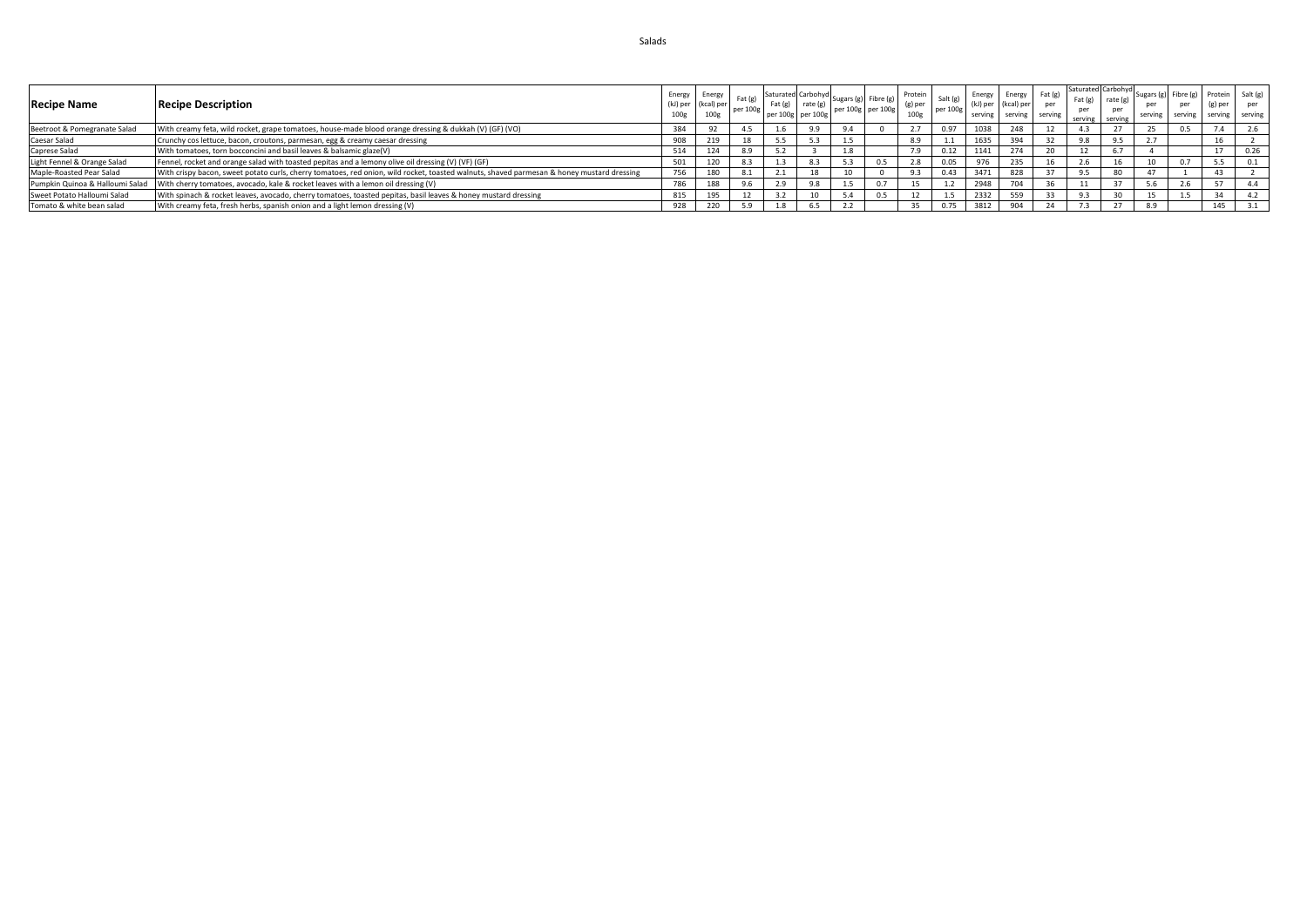| <b>Recipe Name</b>              | <b>Recipe Description</b>                                                                                                                 | Energy<br>100g           | Energy<br>(kcal) per<br>100e | Fat(e)<br>per 100g | $\therefore$ Saturated Carbohyd Sugars (g) Fig.<br>$\sim$ 100 <sub>2</sub>   Fat (g)   rate (g)   per 100g   per 100g   15/ <sup>15</sup> | per 100g per 100g | Fibre (g) | Protein  <br>(g) per<br>100g | Salt (g)<br>per 100g |      | Energy Energy Fat (g)<br>(kl) per (kcal) per<br>serving serving serving | per | Saturated Carbohyd<br>Fat<br>per<br>serving | rate (g)<br>per<br>serving |     | serving serving | Sugars (g) Fibre (g) Protein Salt (g)<br>(g) per<br>serving serving |      |
|---------------------------------|-------------------------------------------------------------------------------------------------------------------------------------------|--------------------------|------------------------------|--------------------|-------------------------------------------------------------------------------------------------------------------------------------------|-------------------|-----------|------------------------------|----------------------|------|-------------------------------------------------------------------------|-----|---------------------------------------------|----------------------------|-----|-----------------|---------------------------------------------------------------------|------|
| Beetroot & Pomegranate Salad    | With creamy feta, wild rocket, grape tomatoes, house-made blood orange dressing & dukkah (V) (GF) (VO)                                    |                          |                              | 4.5                |                                                                                                                                           |                   |           |                              | 0.97                 | 1038 | 248                                                                     |     |                                             |                            |     |                 |                                                                     |      |
| Caesar Salad                    | Crunchy cos lettuce, bacon, croutons, parmesan, egg & creamy caesar dressing                                                              |                          | 219                          |                    |                                                                                                                                           |                   |           |                              |                      | 1635 | 20/                                                                     |     |                                             |                            |     |                 |                                                                     |      |
| Caprese Salad                   | With tomatoes, torn bocconcini and basil leaves & balsamic glaze(V)                                                                       | 514                      | 124                          | 8.9                |                                                                                                                                           |                   |           |                              | 0.12                 | 1141 |                                                                         |     |                                             |                            |     |                 | 17                                                                  | 0.26 |
| Light Fennel & Orange Salad     | Fennel, rocket and orange salad with toasted pepitas and a lemony olive oil dressing (V) (VF) (GF)                                        |                          |                              |                    |                                                                                                                                           |                   |           |                              | 0.05                 |      |                                                                         |     |                                             |                            |     |                 |                                                                     |      |
| Maple-Roasted Pear Salad        | With crispy bacon, sweet potato curls, cherry tomatoes, red onion, wild rocket, toasted walnuts, shaved parmesan & honey mustard dressing | 756                      | 180                          | 8.1                | $\mathbf{z} \cdot \mathbf{r}$                                                                                                             |                   |           |                              | 0.43                 | 3471 | 828                                                                     |     |                                             | 8U                         |     |                 | 43                                                                  |      |
| Pumpkin Quinoa & Halloumi Salad | With cherry tomatoes, avocado, kale & rocket leaves with a lemon oil dressing (V)                                                         | $\overline{\phantom{a}}$ | 188                          | 9.6                | 2.9                                                                                                                                       |                   |           |                              |                      | 2948 | 70A                                                                     |     |                                             |                            |     |                 |                                                                     |      |
| Sweet Potato Halloumi Salad     | With spinach & rocket leaves, avocado, cherry tomatoes, toasted pepitas, basil leaves & honey mustard dressing                            |                          | 195                          |                    |                                                                                                                                           |                   |           |                              |                      | 2332 |                                                                         |     |                                             |                            |     |                 | 34                                                                  |      |
| Tomato & white bean salad       | With creamy feta, fresh herbs, spanish onion and a light lemon dressing (V)                                                               | 928                      | 220                          |                    |                                                                                                                                           |                   |           |                              | 0.75                 | 3812 | 0 <sup>n</sup>                                                          |     |                                             |                            | 8.9 |                 | 145                                                                 |      |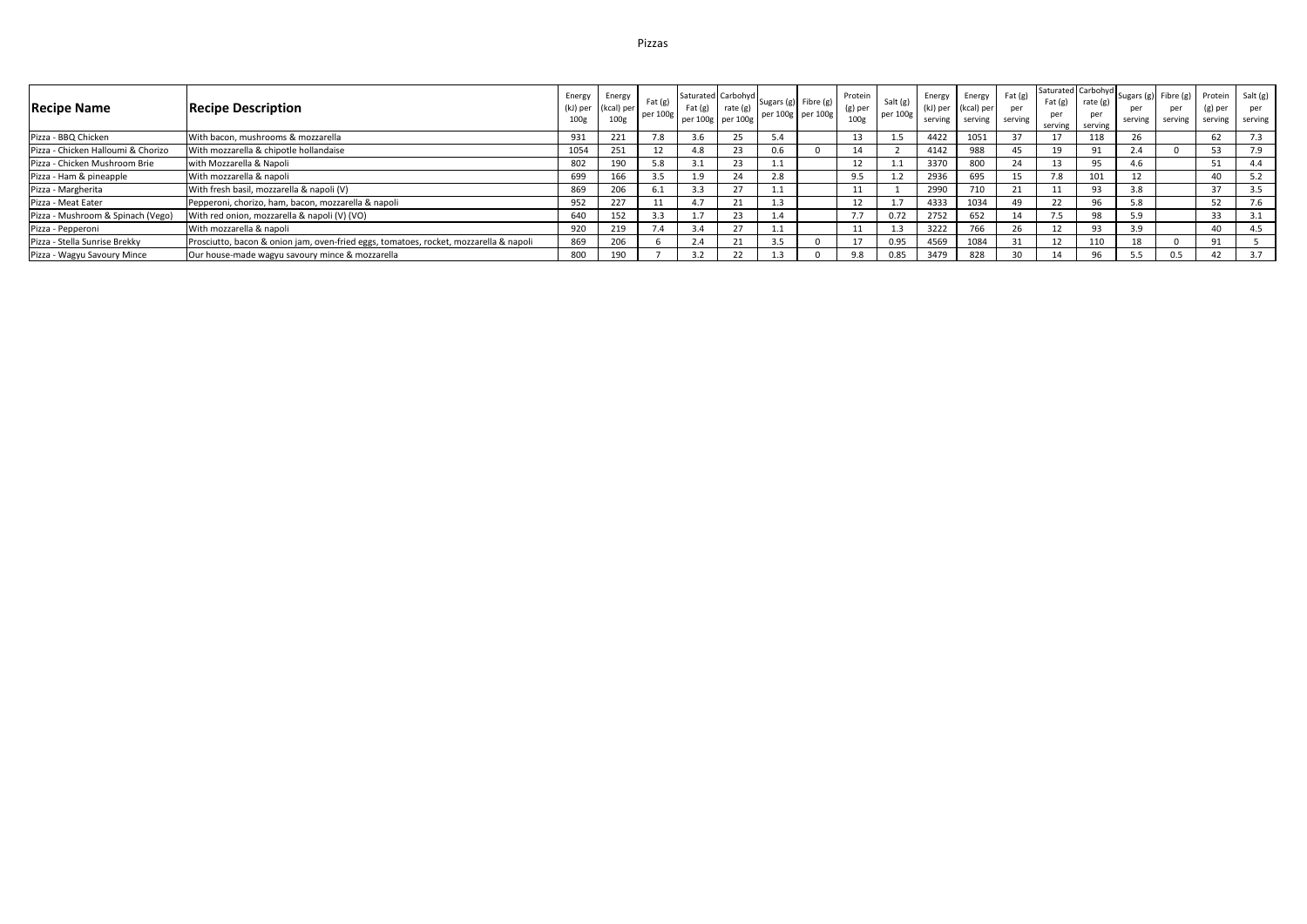| <b>Recipe Name</b>                 | <b>Recipe Description</b>                                                             | Energy<br>(kJ) per<br>100g | Energy<br>(kcal) per<br>100 <sub>g</sub> | Fat (g)<br>per 100g | $ext{Fat}(\mathbf{g})$ | rate $(g)$<br>per 100g per 100g | $\left  \begin{array}{cc} \text{Saturated} \end{array} \right $ Carbohyd Sugars (g) Fibre (g) 1 | per 100g per 100g | Protein<br>$(g)$ per<br>100g | Salt $(g)$<br>per 100g | <b>Energy</b><br>serving | Energy<br>(kJ) per (kcal) per<br>serving | Fat(g)<br>per<br>serving | Saturated Carbohyd<br>Fat(g)    | rate (g)<br>per<br>serving serving | serving | Sugars $(g)$ Fibre $(g)$<br>per<br>serving | Protein<br>$(g)$ per<br>serving | Salt(g)<br>per<br>serving |
|------------------------------------|---------------------------------------------------------------------------------------|----------------------------|------------------------------------------|---------------------|------------------------|---------------------------------|-------------------------------------------------------------------------------------------------|-------------------|------------------------------|------------------------|--------------------------|------------------------------------------|--------------------------|---------------------------------|------------------------------------|---------|--------------------------------------------|---------------------------------|---------------------------|
| Pizza - BBQ Chicken                | With bacon, mushrooms & mozzarella                                                    | 931                        | 221                                      | 7.8                 | 3.6                    |                                 |                                                                                                 |                   | 13                           | 1.5                    | 4422                     | 1051                                     |                          |                                 | 118                                |         |                                            | 62                              | 7.3                       |
| Pizza - Chicken Halloumi & Chorizo | With mozzarella & chipotle hollandaise                                                | 1054                       | 251                                      |                     | 4.8                    | 23                              | 0.6                                                                                             |                   |                              |                        | 4142                     | 988                                      |                          | 19                              | 91                                 |         |                                            |                                 | 7.9                       |
| Pizza - Chicken Mushroom Brie      | with Mozzarella & Napoli                                                              | 802                        | 190                                      | 5.8                 | 3.1                    | 23                              |                                                                                                 |                   |                              | 1.1                    | 3370                     | 800                                      |                          | 13                              | 95                                 | 4.6     |                                            |                                 | 4.4                       |
| Pizza - Ham & pineapple            | With mozzarella & napoli                                                              | 699                        | 166                                      | 3.5                 | 1.9                    | 24                              |                                                                                                 |                   | 9.5                          | 1.2                    | 2936                     | 695                                      |                          | 7.8                             | 101                                |         |                                            | 40                              | 5.2                       |
| Pizza - Margherita                 | With fresh basil, mozzarella & napoli (V)                                             | 869                        | 206                                      |                     | 3.3                    | 27                              |                                                                                                 |                   |                              |                        | 2990                     | 710                                      |                          |                                 | 93                                 |         |                                            | 37                              | 3.5                       |
| Pizza - Meat Eater                 | Pepperoni, chorizo, ham, bacon, mozzarella & napoli                                   | 952                        | 227                                      |                     | 4.7                    |                                 |                                                                                                 |                   |                              | 1.7                    | 4333                     | 1034                                     |                          |                                 | 96                                 | 5.8     |                                            |                                 | 7.6                       |
| Pizza - Mushroom & Spinach (Vego)  | With red onion, mozzarella & napoli (V) (VO)                                          | 640                        | 152                                      | 3.3                 | 1.7                    | 23                              |                                                                                                 |                   | 7.7                          | 0.72                   | 2752                     | 652                                      |                          | $\overline{\phantom{a}}$<br>7.5 | 98                                 | 5.9     |                                            | 33                              | 3.1                       |
| Pizza - Pepperoni                  | With mozzarella & napoli                                                              | 920                        | 219                                      | 7.4                 | 3.4                    |                                 |                                                                                                 |                   |                              | 1.3                    | 3222                     | 766                                      |                          |                                 | 93                                 | 3.9     |                                            | 40                              | 4.5                       |
| Pizza - Stella Sunrise Brekky      | Prosciutto, bacon & onion jam, oven-fried eggs, tomatoes, rocket, mozzarella & napoli | 869                        | 206                                      |                     | 2.4                    |                                 |                                                                                                 |                   |                              | 0.95                   | 4569                     | 1084                                     | 31                       |                                 | 110                                |         |                                            |                                 |                           |
| Pizza - Wagyu Savoury Mince        | Our house-made wagyu savoury mince & mozzarella                                       | 800                        | 190                                      |                     | 3.2                    |                                 |                                                                                                 |                   | 9.8                          | 0.85                   | 3479                     | 828                                      |                          |                                 | 96                                 |         | 0.5                                        |                                 | 3.7                       |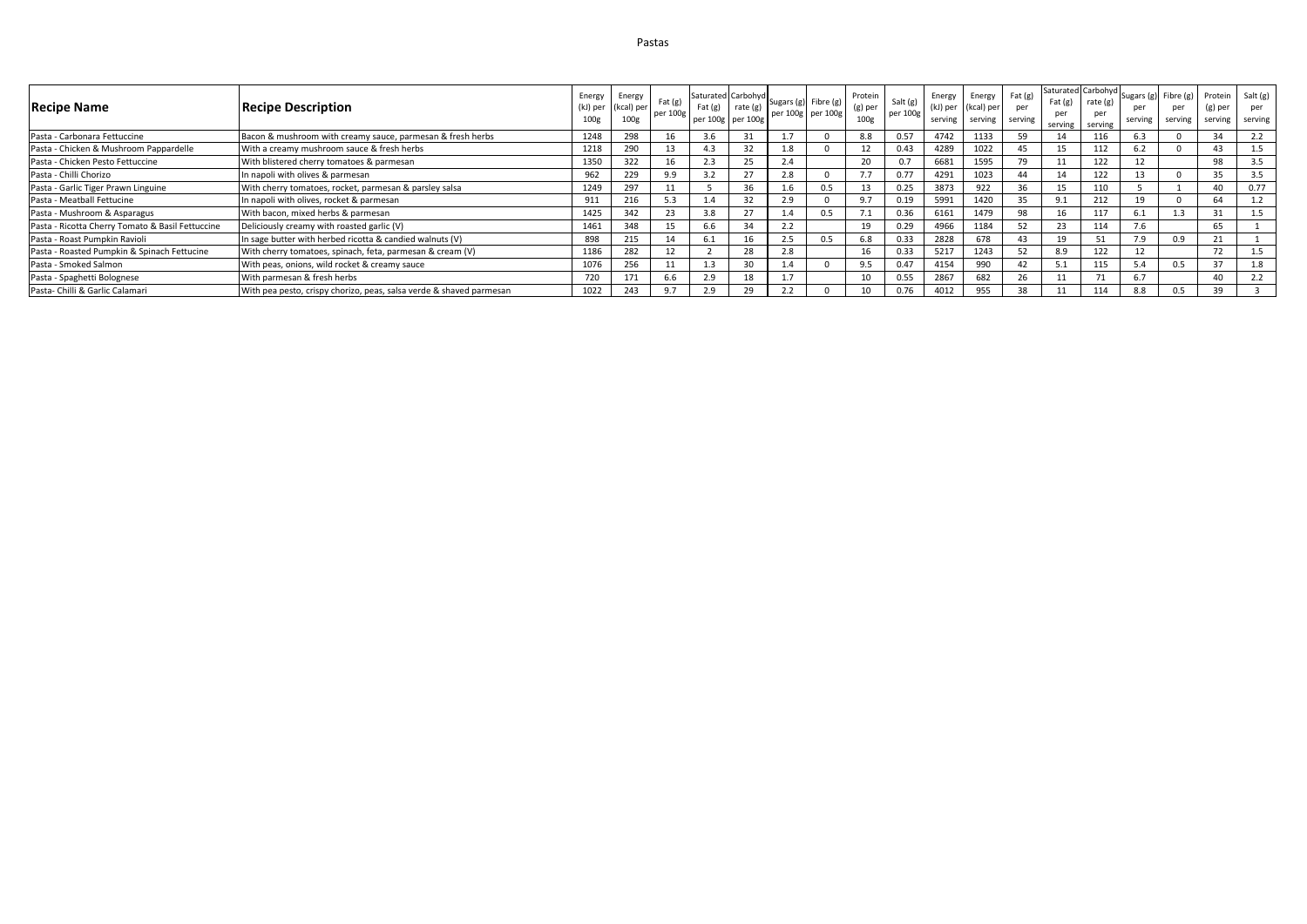| <b>Recipe Name</b>                               | <b>Recipe Description</b>                                           | 100g | Energy Energy<br>(kJ) per (kcal) per<br>100 <sub>g</sub> | Fat(g)<br>per 100g | $\sim$ Saturated Carbohyd Sugars (g) Fibre (g) $\vert \cdot \vert$<br>per 100g per 100g | Fat $(g)$ rate $(g)$ | per 100g per 100g | Protein<br>(g) per<br>100 <sub>g</sub> | Salt (g)<br>per 100g | Energy<br>(kJ) per<br>serving | Energy<br>(kcal) per<br>serving | Fat(g)<br>per<br>serving | Fat (g)<br>serving | Saturated Carbohyd<br>rate $(g)$<br>serving | Sugars (g) Fibre (g)<br>serving | per<br>serving | Protein<br>(g) per<br>serving | Salt $(g)$<br>per<br>serving |
|--------------------------------------------------|---------------------------------------------------------------------|------|----------------------------------------------------------|--------------------|-----------------------------------------------------------------------------------------|----------------------|-------------------|----------------------------------------|----------------------|-------------------------------|---------------------------------|--------------------------|--------------------|---------------------------------------------|---------------------------------|----------------|-------------------------------|------------------------------|
| Pasta - Carbonara Fettuccine                     | Bacon & mushroom with creamy sauce, parmesan & fresh herbs          | 1248 | 298                                                      |                    | 3.6                                                                                     | 31                   |                   | 8.8                                    | 0.57                 | 4742                          | 1133                            | 59                       |                    | 116                                         | 6.3                             |                | 34                            | 2.2                          |
| Pasta - Chicken & Mushroom Pappardelle           | With a creamy mushroom sauce & fresh herbs                          | 1218 | 290                                                      |                    | 4.3                                                                                     | 32                   |                   | 12                                     | 0.43                 | 4289                          | 1022                            |                          | 15                 | 112                                         |                                 |                | 43                            | 1.5                          |
| Pasta - Chicken Pesto Fettuccine                 | With blistered cherry tomatoes & parmesan                           | 1350 | 322                                                      | 16                 | 2.3                                                                                     | 25                   |                   | 20                                     | 0.7                  | 6681                          | 1595                            | 79                       |                    | 122                                         |                                 |                | 98                            | 3.5                          |
| Pasta - Chilli Chorizo                           | In napoli with olives & parmesan                                    | 962  | 229                                                      | 9.9                | 3.2                                                                                     | 27                   |                   | 77                                     | 0.77                 | 4291                          | 1023                            |                          | 14                 | 122                                         |                                 |                | 35                            | 3.5                          |
| Pasta - Garlic Tiger Prawn Linguine              | With cherry tomatoes, rocket, parmesan & parsley salsa              | 1249 | 297                                                      |                    |                                                                                         | 36                   | 0.5               | 13                                     | 0.25                 | 3873                          | 922                             | 36                       | 15                 | 110                                         |                                 |                | 40                            | 0.77                         |
| Pasta - Meatball Fettucine                       | In napoli with olives, rocket & parmesan                            | 911  | 216                                                      |                    |                                                                                         | 32                   |                   | 9.7                                    | 0.19                 | 5991                          | 1420                            | 35                       |                    | 212                                         | 19                              |                |                               | 1.2                          |
| Pasta - Mushroom & Asparagus                     | With bacon, mixed herbs & parmesan                                  | 1425 | 342                                                      | 23                 | 3.8                                                                                     | 27                   | 0.5               | 7.1                                    | 0.36                 | 6161                          | 1479                            | 98                       | 16                 | 117                                         | 6.1                             | 1.3            | 31                            | 1.5                          |
| Pasta - Ricotta Cherry Tomato & Basil Fettuccine | Deliciously creamy with roasted garlic (V)                          | 1461 | 348                                                      | 15                 | 6.6                                                                                     | 34                   |                   | 19                                     | 0.29                 | 4966                          | 1184                            |                          | 23                 | 114                                         | 7.6                             |                | 65                            |                              |
| Pasta - Roast Pumpkin Ravioli                    | In sage butter with herbed ricotta & candied walnuts (V)            | 898  | 215                                                      |                    | 6.1                                                                                     | 16                   | 0.5               | 6.8                                    | 0.33                 | 2828                          | 678                             |                          | 19                 | 51                                          | 7.9                             | 0.9            |                               |                              |
| Pasta - Roasted Pumpkin & Spinach Fettucine      | With cherry tomatoes, spinach, feta, parmesan & cream (V)           | 1186 | 282                                                      |                    |                                                                                         | 28                   |                   | 16                                     | 0.33                 | 5217                          | 1243                            |                          | 8.9                | 122                                         |                                 |                |                               |                              |
| Pasta - Smoked Salmon                            | With peas, onions, wild rocket & creamy sauce                       | 1076 | 256                                                      |                    | 1.3                                                                                     | 30                   |                   | 9.5                                    | 0.47                 | 4154                          | 990                             | 42                       | - 5.1              | 115                                         | 5.4                             | 0.5            | 37                            | 1.8                          |
| Pasta - Spaghetti Bolognese                      | With parmesan & fresh herbs                                         | 720  | 171                                                      | 6.6                | 2.9                                                                                     | 18                   |                   | 10                                     | 0.55                 | 2867                          | 682                             | 26                       |                    | 71                                          | 6.7                             |                | 40                            | 2.2                          |
| Pasta- Chilli & Garlic Calamari                  | With pea pesto, crispy chorizo, peas, salsa verde & shaved parmesan | 1022 | 243                                                      | 97                 | 2.9                                                                                     |                      |                   | 10                                     | 0.76                 | 4012                          | 955                             | 38                       |                    | 114                                         | 8.8                             | 0.5            | 39                            |                              |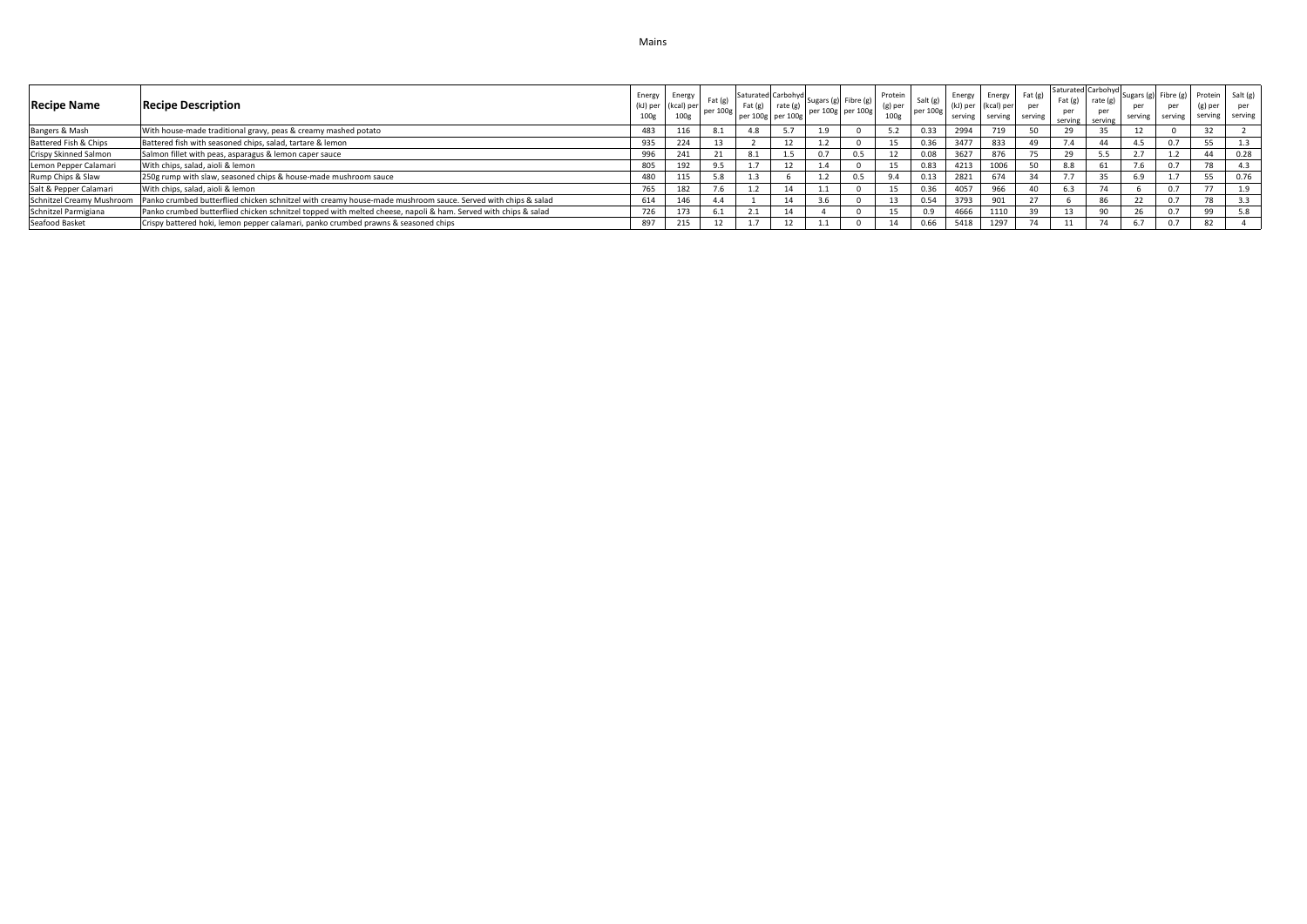| <b>Recipe Name</b>        | <b>Recipe Description</b>                                                                                      | 100g | Energy Energy<br>(kJ) per (kcal) per<br>100 <sub>g</sub> | Fat(e)<br>ner 100g | $ext{Fat}$ (g)                  | [Saturated Carbohyd Sugars (g) Fibre (g)  <br>rate (g)<br>per 100g per 100g |          | per 100g per 100g | Protein<br>(g) per<br>100 <sub>g</sub> | Salt (g)<br>per 100g | Energy<br>(kJ) per<br>serving | (kcal) per<br>serving | Energy Fat (g)<br>per<br>serving | Fat $(g)$ rate $(g)$<br>per<br>serving serving | Saturated Carbohyd | per<br>serving | per | (g) per         | Sugars (g) Fibre (g) Protein Salt (g)<br>serving serving serving |
|---------------------------|----------------------------------------------------------------------------------------------------------------|------|----------------------------------------------------------|--------------------|---------------------------------|-----------------------------------------------------------------------------|----------|-------------------|----------------------------------------|----------------------|-------------------------------|-----------------------|----------------------------------|------------------------------------------------|--------------------|----------------|-----|-----------------|------------------------------------------------------------------|
| Bangers & Mash            | With house-made traditional gravy, peas & creamy mashed potato                                                 | 483  |                                                          |                    |                                 |                                                                             |          |                   |                                        | 0.33                 | 2994                          |                       |                                  |                                                |                    | 12             |     |                 |                                                                  |
| Battered Fish & Chips     | Battered fish with seasoned chips, salad, tartare & lemon                                                      | 935  | $\sim$ $\sim$<br>224                                     |                    |                                 | 12                                                                          | $\pm .2$ |                   |                                        | 0.36                 | 3477                          | 833                   |                                  |                                                | 44                 | 4.5            | 0.7 |                 |                                                                  |
| Crispy Skinned Salmon     | Salmon fillet with peas, asparagus & lemon caper sauce                                                         | 996  | <b>441</b>                                               |                    | 8.1                             | 1.5                                                                         | 0.7      |                   |                                        |                      | 3627                          |                       |                                  |                                                | 5.5                |                |     |                 | 0.28                                                             |
| Lemon Pepper Calamari     | With chips, salad, aioli & lemon                                                                               | 805  | 192                                                      | כ.פ                |                                 | 12                                                                          |          |                   |                                        | 0.83                 | 4213                          |                       |                                  | 8.8                                            | n.                 | 7.6            |     | $\sim$ $\sim$   | 4.3                                                              |
| Rump Chips & Slaw         | 250g rump with slaw, seasoned chips & house-made mushroom sauce                                                | 480  | 44                                                       |                    |                                 |                                                                             |          | J.5               |                                        | 0.13                 | 2821                          | 674                   |                                  |                                                |                    | 6.9            |     |                 | 0.76                                                             |
| Salt & Pepper Calamari    | With chips, salad, aioli & lemon                                                                               | 765  | 182                                                      |                    |                                 | 14                                                                          |          |                   |                                        | 0.36                 | 4057                          | 966                   |                                  | 6.3                                            |                    |                | 0.7 | $\rightarrow$ - | 1.9                                                              |
| Schnitzel Creamy Mushroom | Panko crumbed butterflied chicken schnitzel with creamy house-made mushroom sauce. Served with chips & salad   | 614  |                                                          |                    |                                 | 14                                                                          | 3.6      |                   |                                        | 0.54                 | 3793                          | 901                   |                                  |                                                | 86                 | 22             | 0.7 | 70              | 3.3                                                              |
| Schnitzel Parmigiana      | Panko crumbed butterflied chicken schnitzel topped with melted cheese, napoli & ham. Served with chips & salad | 726  | 173                                                      |                    | $\mathcal{L} \cdot \mathcal{L}$ |                                                                             |          |                   |                                        |                      | 4666                          | 1110                  | 20                               |                                                | 0 <sup>n</sup>     | 26             | 0.7 | <b>QQ</b>       | 5.8                                                              |
| Seafood Basket            | Crispy battered hoki, lemon pepper calamari, panko crumbed prawns & seasoned chips                             | 897  | 215                                                      |                    |                                 | 12                                                                          |          |                   |                                        | 0.66                 | 5418                          | 1297                  | 74                               |                                                |                    | 6.7            | 0.7 | 82              |                                                                  |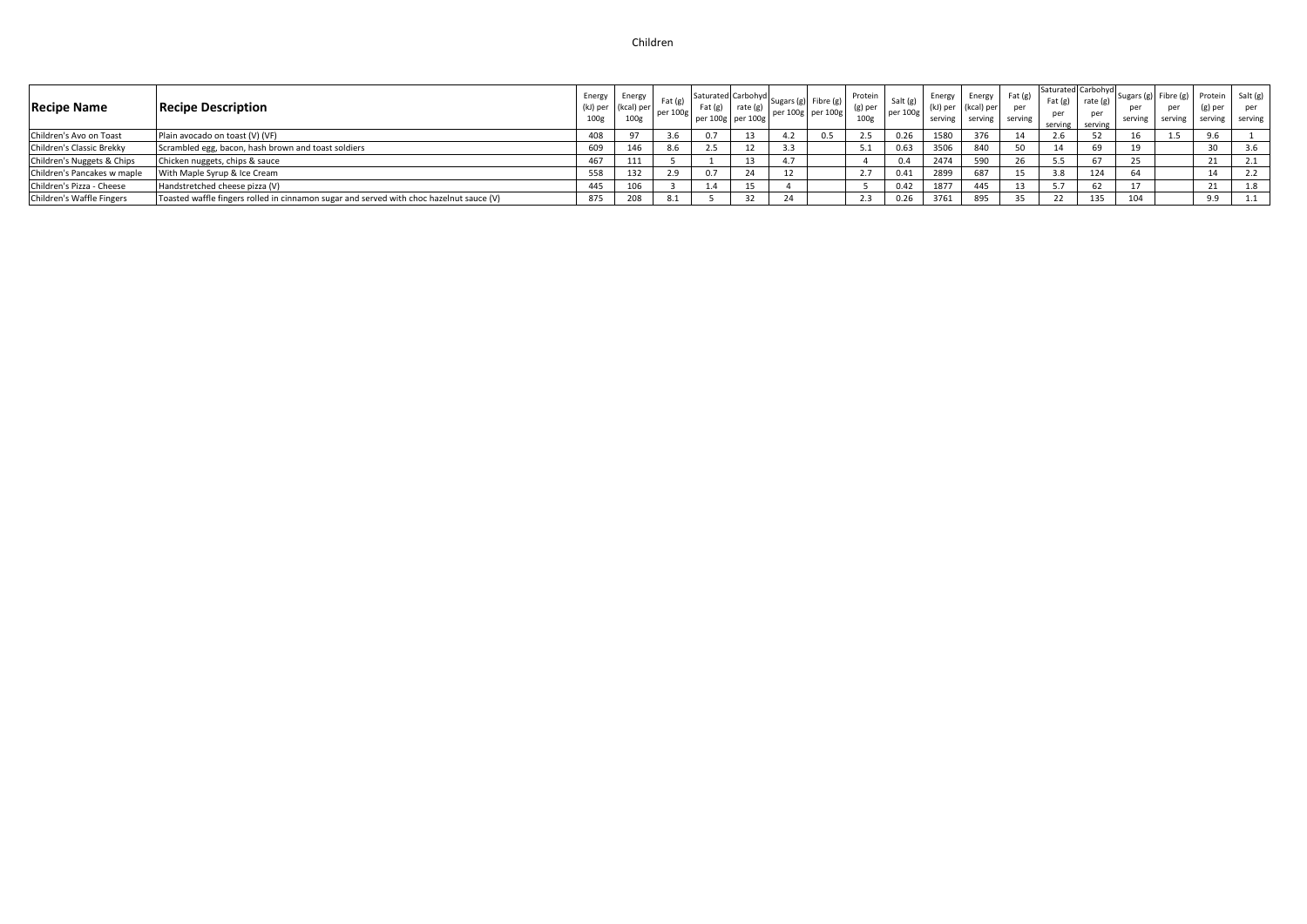# Children

| <b>Recipe Name</b>          | <b>Recipe Description</b>                                                               | Energy<br>(kJ) per<br>100 <sub>g</sub> | Energy<br>(kcal) per | Fat $(g)$<br>per 100g | Fat (g)<br>$\degree$ per 100g   per 100g | $rac{1}{\pi}$ rate (g) | . Saturated Carbohyd Sugars (g) Fibre (g) I<br>per 100g per 100g |     | Protein<br>$(g)$ per<br>100g | Salt (<br>per 100g | Energy<br>(kJ) per<br>serving | Energy<br>(kcal) per<br>serving | $ext{Fat}$ (g)<br>per<br>serving | Saturated Carbohyd<br>Fat $(g)$<br>serving | rate (g)<br>per<br>serving | serving | per<br>serving | Sugars (g) Fibre (g) Protein Salt (g)<br>(g) per<br>serving serving | per |
|-----------------------------|-----------------------------------------------------------------------------------------|----------------------------------------|----------------------|-----------------------|------------------------------------------|------------------------|------------------------------------------------------------------|-----|------------------------------|--------------------|-------------------------------|---------------------------------|----------------------------------|--------------------------------------------|----------------------------|---------|----------------|---------------------------------------------------------------------|-----|
| Children's Avo on Toast     | Plain avocado on toast (V) (VF)                                                         | 408                                    |                      |                       | 0.7                                      |                        |                                                                  | 0.5 | 2.5                          | 0.26               | 1580                          | 376                             |                                  | 2.6                                        |                            |         |                | 9.6                                                                 |     |
| Children's Classic Brekky   | Scrambled egg, bacon, hash brown and toast soldiers                                     | 609                                    | 146                  | 8.6                   | 2.5                                      | -12                    |                                                                  |     | 5.1                          | 0.63               | 3506                          | 840                             |                                  | 14                                         | פס                         |         |                |                                                                     | 3.6 |
| Children's Nuggets & Chips  | Chicken nuggets, chips & sauce                                                          | 467                                    | 111                  |                       |                                          |                        |                                                                  |     |                              | 0.4                | 2474                          | 590                             |                                  | 5.5                                        |                            |         |                |                                                                     |     |
| Children's Pancakes w maple | With Maple Syrup & Ice Cream                                                            | 558                                    | 132                  |                       | 0.7                                      |                        |                                                                  |     |                              | 0.41               | 2899                          | 687                             |                                  | 3.8                                        | 124                        |         |                |                                                                     |     |
| Children's Pizza - Cheese   | Handstretched cheese pizza (V)                                                          | 445                                    |                      |                       | 1.4                                      |                        |                                                                  |     |                              | 0.42               | 1877                          | 445                             |                                  |                                            | 62                         |         |                |                                                                     | 1.8 |
| Children's Waffle Fingers   | Toasted waffle fingers rolled in cinnamon sugar and served with choc hazelnut sauce (V) | 875                                    | 208                  |                       |                                          |                        |                                                                  |     |                              |                    | 3761                          | 895                             | 35                               |                                            | 135                        | 104     |                | 9.9                                                                 |     |